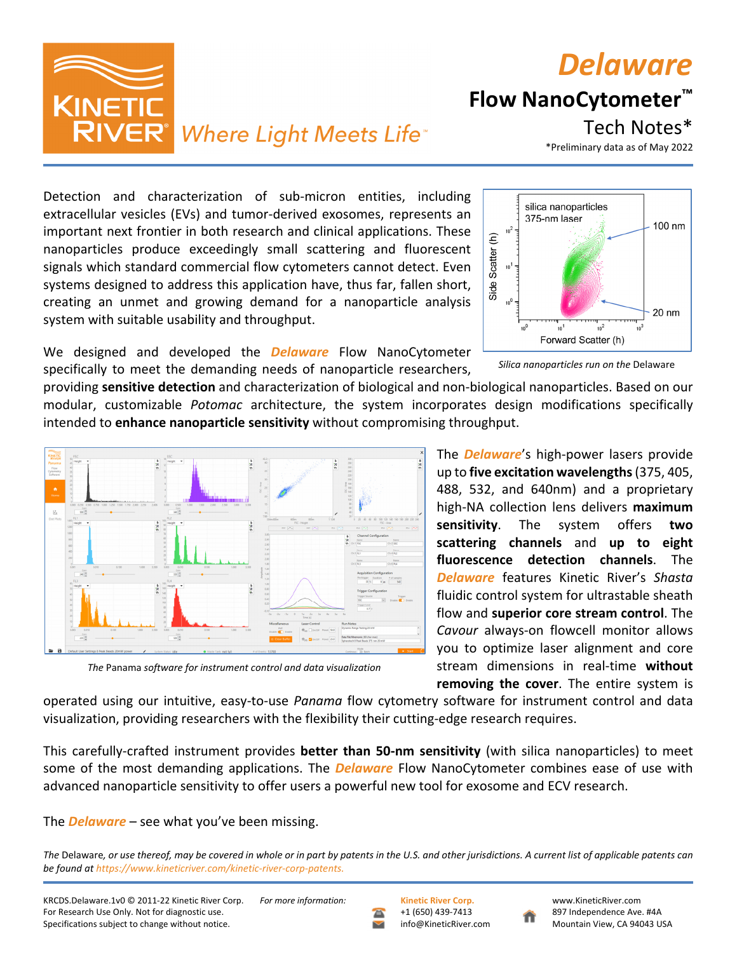

operated using our intuitive, easy‐to‐use *Panama* flow cytometry software for instrument control and data visualization, providing researchers with the flexibility their cutting‐edge research requires.

This carefully‐crafted instrument provides **better than 50‐nm sensitivity** (with silica nanoparticles) to meet some of the most demanding applications. The *Delaware* Flow NanoCytometer combines ease of use with advanced nanoparticle sensitivity to offer users a powerful new tool for exosome and ECV research.

The *Delaware* – see what you've been missing.

The Delaware, or use thereof, may be covered in whole or in part by patents in the U.S. and other jurisdictions. A current list of applicable patents can *be found at https://www.kineticriver.com/kinetic‐river‐corp‐patents.*

*The* Panama *software for instrument control and data visualization*

specifically to meet the demanding needs of nanoparticle researchers,

providing **sensitive detection** and characterization of biological and non‐biological nanoparticles. Based on our modular, customizable *Potomac* architecture, the system incorporates design modifications specifically intended to **enhance nanoparticle sensitivity** without compromising throughput.

Detection and characterization of sub-micron entities, including extracellular vesicles (EVs) and tumor‐derived exosomes, represents an important next frontier in both research and clinical applications. These Side Scatter (h) nanoparticles produce exceedingly small scattering and fluorescent signals which standard commercial flow cytometers cannot detect. Even systems designed to address this application have, thus far, fallen short, creating an unmet and growing demand for a nanoparticle analysis system with suitable usability and throughput. We designed and developed the *Delaware* Flow NanoCytometer

silica nanoparticles 375-nm laser 100 nm  $\rm 10^2$  $10<sup>1</sup>$ 20 nm Forward Scatter (h)



Tech Notes\*





 $\vert_{\tau_{\pm}}^*$ 

*Silica nanoparticles run on the* Delaware

The *Delaware*'s high‐power lasers provide up to **five excitation wavelengths**(375, 405, 488, 532, and 640nm) and a proprietary high‐NA collection lens delivers **maximum sensitivity**. The system offers **two scattering channels** and **up to eight fluorescence detection channels**. The *Delaware* features Kinetic River's *Shasta* fluidic control system for ultrastable sheath flow and **superior core stream control**. The *Cavour* always‐on flowcell monitor allows you to optimize laser alignment and core stream dimensions in real‐time **without removing the cover**. The entire system is